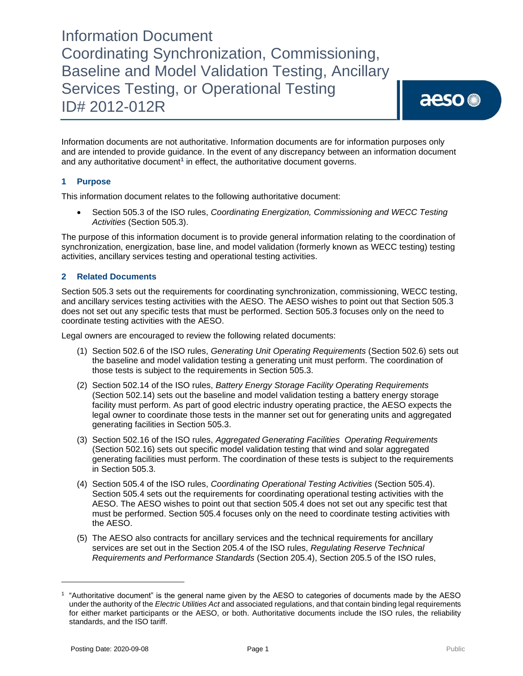Information documents are not authoritative. Information documents are for information purposes only and are intended to provide guidance. In the event of any discrepancy between an information document and any authoritative document**<sup>1</sup>** in effect, the authoritative document governs.

### **1 Purpose**

This information document relates to the following authoritative document:

• Section 505.3 of the ISO rules, *Coordinating Energization, Commissioning and WECC Testing Activities* (Section 505.3).

The purpose of this information document is to provide general information relating to the coordination of synchronization, energization, base line, and model validation (formerly known as WECC testing) testing activities, ancillary services testing and operational testing activities.

### **2 Related Documents**

Section 505.3 sets out the requirements for coordinating synchronization, commissioning, WECC testing, and ancillary services testing activities with the AESO. The AESO wishes to point out that Section 505.3 does not set out any specific tests that must be performed. Section 505.3 focuses only on the need to coordinate testing activities with the AESO.

Legal owners are encouraged to review the following related documents:

- (1) Section 502.6 of the ISO rules, *Generating Unit Operating Requirements* (Section 502.6) sets out the baseline and model validation testing a generating unit must perform. The coordination of those tests is subject to the requirements in Section 505.3.
- (2) Section 502.14 of the ISO rules, *Battery Energy Storage Facility Operating Requirements* (Section 502.14) sets out the baseline and model validation testing a battery energy storage facility must perform. As part of good electric industry operating practice, the AESO expects the legal owner to coordinate those tests in the manner set out for generating units and aggregated generating facilities in Section 505.3.
- (3) Section 502.16 of the ISO rules, *Aggregated Generating Facilities Operating Requirements* (Section 502.16) sets out specific model validation testing that wind and solar aggregated generating facilities must perform. The coordination of these tests is subject to the requirements in Section 505.3.
- (4) Section 505.4 of the ISO rules, *Coordinating Operational Testing Activities* (Section 505.4). Section 505.4 sets out the requirements for coordinating operational testing activities with the AESO. The AESO wishes to point out that section 505.4 does not set out any specific test that must be performed. Section 505.4 focuses only on the need to coordinate testing activities with the AESO.
- (5) The AESO also contracts for ancillary services and the technical requirements for ancillary services are set out in the Section 205.4 of the ISO rules, *Regulating Reserve Technical Requirements and Performance Standards* (Section 205.4), Section 205.5 of the ISO rules,

<sup>1</sup> "Authoritative document" is the general name given by the AESO to categories of documents made by the AESO under the authority of the *Electric Utilities Act* and associated regulations, and that contain binding legal requirements for either market participants or the AESO, or both. Authoritative documents include the ISO rules, the reliability standards, and the ISO tariff.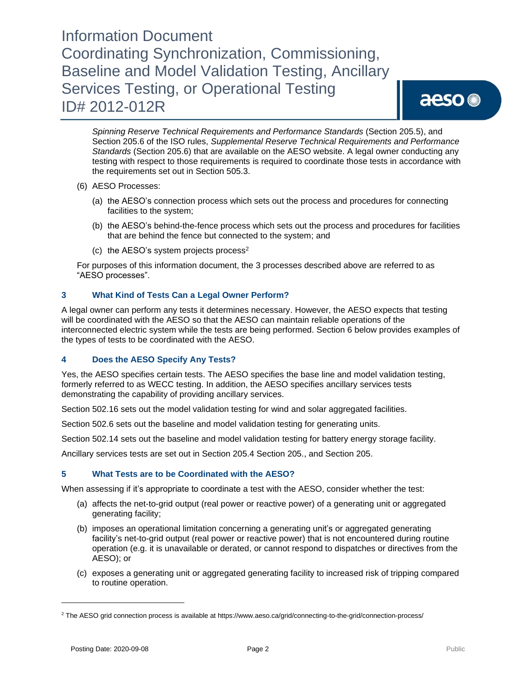# aeso<sup>®</sup>

*Spinning Reserve Technical Requirements and Performance Standards* (Section 205.5), and Section 205.6 of the ISO rules, *Supplemental Reserve Technical Requirements and Performance Standards* (Section 205.6) that are available on the AESO website. A legal owner conducting any testing with respect to those requirements is required to coordinate those tests in accordance with the requirements set out in Section 505.3.

- (6) AESO Processes:
	- (a) the AESO's connection process which sets out the process and procedures for connecting facilities to the system;
	- (b) the AESO's behind-the-fence process which sets out the process and procedures for facilities that are behind the fence but connected to the system; and
	- (c) the AESO's system projects process<sup>2</sup>

For purposes of this information document, the 3 processes described above are referred to as "AESO processes".

### **3 What Kind of Tests Can a Legal Owner Perform?**

A legal owner can perform any tests it determines necessary. However, the AESO expects that testing will be coordinated with the AESO so that the AESO can maintain reliable operations of the interconnected electric system while the tests are being performed. Section 6 below provides examples of the types of tests to be coordinated with the AESO.

### **4 Does the AESO Specify Any Tests?**

Yes, the AESO specifies certain tests. The AESO specifies the base line and model validation testing, formerly referred to as WECC testing. In addition, the AESO specifies ancillary services tests demonstrating the capability of providing ancillary services.

Section 502.16 sets out the model validation testing for wind and solar aggregated facilities.

Section 502.6 sets out the baseline and model validation testing for generating units.

Section 502.14 sets out the baseline and model validation testing for battery energy storage facility.

Ancillary services tests are set out in Section 205.4 Section 205., and Section 205.

### **5 What Tests are to be Coordinated with the AESO?**

When assessing if it's appropriate to coordinate a test with the AESO, consider whether the test:

- (a) affects the net-to-grid output (real power or reactive power) of a generating unit or aggregated generating facility;
- (b) imposes an operational limitation concerning a generating unit's or aggregated generating facility's net-to-grid output (real power or reactive power) that is not encountered during routine operation (e.g. it is unavailable or derated, or cannot respond to dispatches or directives from the AESO); or
- (c) exposes a generating unit or aggregated generating facility to increased risk of tripping compared to routine operation.

<sup>&</sup>lt;sup>2</sup> The AESO grid connection process is available at https://www.aeso.ca/grid/connecting-to-the-grid/connection-process/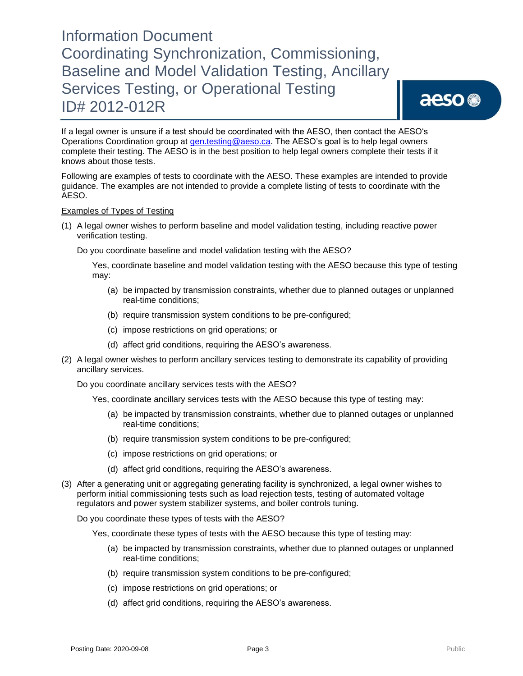If a legal owner is unsure if a test should be coordinated with the AESO, then contact the AESO's Operations Coordination group at [gen.testing@aeso.ca.](mailto:gen.testing@aeso.ca) The AESO's goal is to help legal owners complete their testing. The AESO is in the best position to help legal owners complete their tests if it knows about those tests.

Following are examples of tests to coordinate with the AESO. These examples are intended to provide guidance. The examples are not intended to provide a complete listing of tests to coordinate with the AESO.

#### Examples of Types of Testing

(1) A legal owner wishes to perform baseline and model validation testing, including reactive power verification testing.

Do you coordinate baseline and model validation testing with the AESO?

Yes, coordinate baseline and model validation testing with the AESO because this type of testing may:

- (a) be impacted by transmission constraints, whether due to planned outages or unplanned real-time conditions;
- (b) require transmission system conditions to be pre-configured;
- (c) impose restrictions on grid operations; or
- (d) affect grid conditions, requiring the AESO's awareness.
- (2) A legal owner wishes to perform ancillary services testing to demonstrate its capability of providing ancillary services.

Do you coordinate ancillary services tests with the AESO?

Yes, coordinate ancillary services tests with the AESO because this type of testing may:

- (a) be impacted by transmission constraints, whether due to planned outages or unplanned real-time conditions;
- (b) require transmission system conditions to be pre-configured;
- (c) impose restrictions on grid operations; or
- (d) affect grid conditions, requiring the AESO's awareness.
- (3) After a generating unit or aggregating generating facility is synchronized, a legal owner wishes to perform initial commissioning tests such as load rejection tests, testing of automated voltage regulators and power system stabilizer systems, and boiler controls tuning.

Do you coordinate these types of tests with the AESO?

Yes, coordinate these types of tests with the AESO because this type of testing may:

- (a) be impacted by transmission constraints, whether due to planned outages or unplanned real-time conditions;
- (b) require transmission system conditions to be pre-configured;
- (c) impose restrictions on grid operations; or
- (d) affect grid conditions, requiring the AESO's awareness.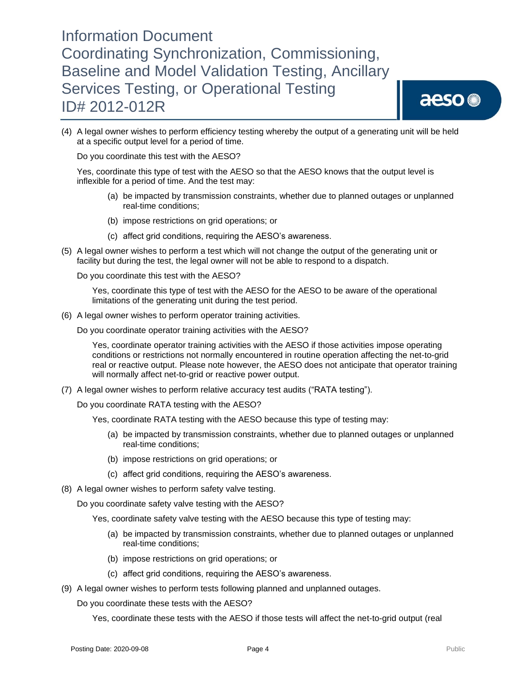

(4) A legal owner wishes to perform efficiency testing whereby the output of a generating unit will be held at a specific output level for a period of time.

Do you coordinate this test with the AESO?

Yes, coordinate this type of test with the AESO so that the AESO knows that the output level is inflexible for a period of time. And the test may:

- (a) be impacted by transmission constraints, whether due to planned outages or unplanned real-time conditions;
- (b) impose restrictions on grid operations; or
- (c) affect grid conditions, requiring the AESO's awareness.
- (5) A legal owner wishes to perform a test which will not change the output of the generating unit or facility but during the test, the legal owner will not be able to respond to a dispatch.

Do you coordinate this test with the AESO?

Yes, coordinate this type of test with the AESO for the AESO to be aware of the operational limitations of the generating unit during the test period.

(6) A legal owner wishes to perform operator training activities.

Do you coordinate operator training activities with the AESO?

Yes, coordinate operator training activities with the AESO if those activities impose operating conditions or restrictions not normally encountered in routine operation affecting the net-to-grid real or reactive output. Please note however, the AESO does not anticipate that operator training will normally affect net-to-grid or reactive power output.

(7) A legal owner wishes to perform relative accuracy test audits ("RATA testing").

Do you coordinate RATA testing with the AESO?

- Yes, coordinate RATA testing with the AESO because this type of testing may:
	- (a) be impacted by transmission constraints, whether due to planned outages or unplanned real-time conditions;
	- (b) impose restrictions on grid operations; or
	- (c) affect grid conditions, requiring the AESO's awareness.
- (8) A legal owner wishes to perform safety valve testing.

Do you coordinate safety valve testing with the AESO?

Yes, coordinate safety valve testing with the AESO because this type of testing may:

- (a) be impacted by transmission constraints, whether due to planned outages or unplanned real-time conditions;
- (b) impose restrictions on grid operations; or
- (c) affect grid conditions, requiring the AESO's awareness.
- (9) A legal owner wishes to perform tests following planned and unplanned outages.
	- Do you coordinate these tests with the AESO?

Yes, coordinate these tests with the AESO if those tests will affect the net-to-grid output (real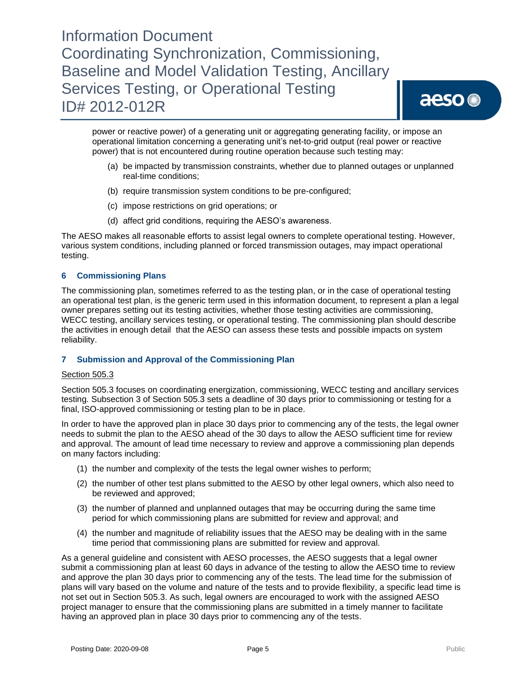power or reactive power) of a generating unit or aggregating generating facility, or impose an operational limitation concerning a generating unit's net-to-grid output (real power or reactive power) that is not encountered during routine operation because such testing may:

- (a) be impacted by transmission constraints, whether due to planned outages or unplanned real-time conditions;
- (b) require transmission system conditions to be pre-configured;
- (c) impose restrictions on grid operations; or
- (d) affect grid conditions, requiring the AESO's awareness.

The AESO makes all reasonable efforts to assist legal owners to complete operational testing. However, various system conditions, including planned or forced transmission outages, may impact operational testing.

### **6 Commissioning Plans**

The commissioning plan, sometimes referred to as the testing plan, or in the case of operational testing an operational test plan, is the generic term used in this information document, to represent a plan a legal owner prepares setting out its testing activities, whether those testing activities are commissioning, WECC testing, ancillary services testing, or operational testing. The commissioning plan should describe the activities in enough detail that the AESO can assess these tests and possible impacts on system reliability.

#### **7 Submission and Approval of the Commissioning Plan**

#### Section 505.3

Section 505.3 focuses on coordinating energization, commissioning, WECC testing and ancillary services testing*.* Subsection 3 of Section 505.3 sets a deadline of 30 days prior to commissioning or testing for a final, ISO-approved commissioning or testing plan to be in place.

In order to have the approved plan in place 30 days prior to commencing any of the tests, the legal owner needs to submit the plan to the AESO ahead of the 30 days to allow the AESO sufficient time for review and approval. The amount of lead time necessary to review and approve a commissioning plan depends on many factors including:

- (1) the number and complexity of the tests the legal owner wishes to perform;
- (2) the number of other test plans submitted to the AESO by other legal owners, which also need to be reviewed and approved;
- (3) the number of planned and unplanned outages that may be occurring during the same time period for which commissioning plans are submitted for review and approval; and
- (4) the number and magnitude of reliability issues that the AESO may be dealing with in the same time period that commissioning plans are submitted for review and approval.

As a general guideline and consistent with AESO processes, the AESO suggests that a legal owner submit a commissioning plan at least 60 days in advance of the testing to allow the AESO time to review and approve the plan 30 days prior to commencing any of the tests. The lead time for the submission of plans will vary based on the volume and nature of the tests and to provide flexibility, a specific lead time is not set out in Section 505.3. As such, legal owners are encouraged to work with the assigned AESO project manager to ensure that the commissioning plans are submitted in a timely manner to facilitate having an approved plan in place 30 days prior to commencing any of the tests.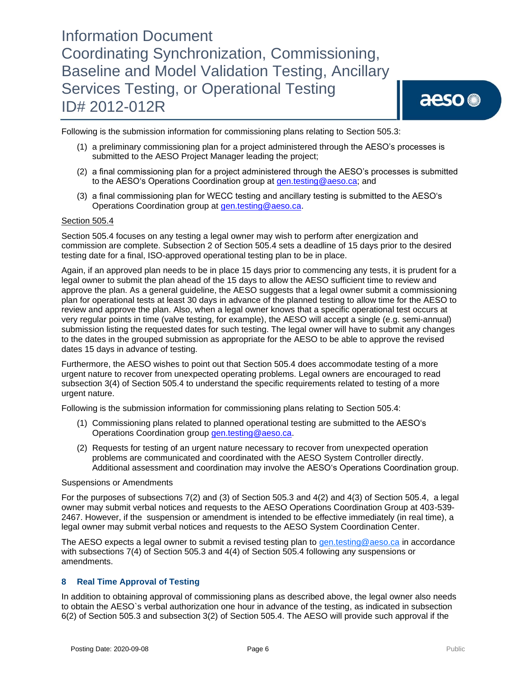Following is the submission information for commissioning plans relating to Section 505.3:

- (1) a preliminary commissioning plan for a project administered through the AESO's processes is submitted to the AESO Project Manager leading the project;
- (2) a final commissioning plan for a project administered through the AESO's processes is submitted to the AESO's Operations Coordination group at [gen.testing@aeso.ca;](mailto:gen.testing@aeso.ca) and
- (3) a final commissioning plan for WECC testing and ancillary testing is submitted to the AESO's Operations Coordination group at [gen.testing@aeso.ca.](mailto:gen.testing@aeso.ca)

#### Section 505.4

Section 505.4 focuses on any testing a legal owner may wish to perform after energization and commission are complete. Subsection 2 of Section 505.4 sets a deadline of 15 days prior to the desired testing date for a final, ISO-approved operational testing plan to be in place.

Again, if an approved plan needs to be in place 15 days prior to commencing any tests, it is prudent for a legal owner to submit the plan ahead of the 15 days to allow the AESO sufficient time to review and approve the plan. As a general guideline, the AESO suggests that a legal owner submit a commissioning plan for operational tests at least 30 days in advance of the planned testing to allow time for the AESO to review and approve the plan. Also, when a legal owner knows that a specific operational test occurs at very regular points in time (valve testing, for example), the AESO will accept a single (e.g. semi-annual) submission listing the requested dates for such testing. The legal owner will have to submit any changes to the dates in the grouped submission as appropriate for the AESO to be able to approve the revised dates 15 days in advance of testing.

Furthermore, the AESO wishes to point out that Section 505.4 does accommodate testing of a more urgent nature to recover from unexpected operating problems. Legal owners are encouraged to read subsection 3(4) of Section 505.4 to understand the specific requirements related to testing of a more urgent nature.

Following is the submission information for commissioning plans relating to Section 505.4:

- (1) Commissioning plans related to planned operational testing are submitted to the AESO's Operations Coordination group gen.testing@aeso.ca.
- (2) Requests for testing of an urgent nature necessary to recover from unexpected operation problems are communicated and coordinated with the AESO System Controller directly. Additional assessment and coordination may involve the AESO's Operations Coordination group.

#### Suspensions or Amendments

For the purposes of subsections 7(2) and (3) of Section 505.3 and 4(2) and 4(3) of Section 505.4, a legal owner may submit verbal notices and requests to the AESO Operations Coordination Group at 403-539- 2467. However, if the suspension or amendment is intended to be effective immediately (in real time), a legal owner may submit verbal notices and requests to the AESO System Coordination Center.

The AESO expects a legal owner to submit a revised testing plan to [gen.testing@aeso.ca](mailto:gen.testing@aeso.ca) in accordance with subsections 7(4) of Section 505.3 and 4(4) of Section 505.4 following any suspensions or amendments.

#### **8 Real Time Approval of Testing**

In addition to obtaining approval of commissioning plans as described above, the legal owner also needs to obtain the AESO`s verbal authorization one hour in advance of the testing, as indicated in subsection 6(2) of Section 505.3 and subsection 3(2) of Section 505.4. The AESO will provide such approval if the